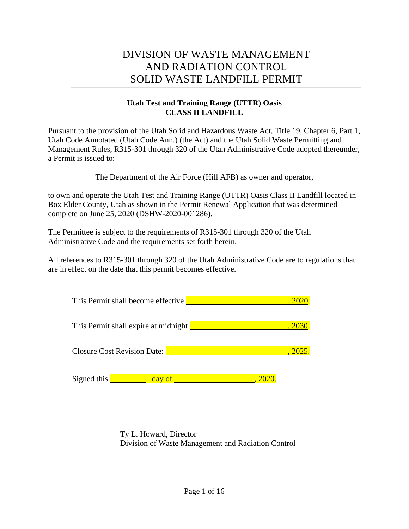# DIVISION OF WASTE MANAGEMENT AND RADIATION CONTROL SOLID WASTE LANDFILL PERMIT

## **Utah Test and Training Range (UTTR) Oasis CLASS II LANDFILL**

Pursuant to the provision of the Utah Solid and Hazardous Waste Act, Title 19, Chapter 6, Part 1, Utah Code Annotated (Utah Code Ann.) (the Act) and the Utah Solid Waste Permitting and Management Rules, R315-301 through 320 of the Utah Administrative Code adopted thereunder, a Permit is issued to:

The Department of the Air Force (Hill AFB) as owner and operator,

to own and operate the Utah Test and Training Range (UTTR) Oasis Class II Landfill located in Box Elder County, Utah as shown in the Permit Renewal Application that was determined complete on June 25, 2020 (DSHW-2020-001286).

The Permittee is subject to the requirements of R315-301 through 320 of the Utah Administrative Code and the requirements set forth herein.

All references to R315-301 through 320 of the Utah Administrative Code are to regulations that are in effect on the date that this permit becomes effective.

| This Permit shall become effective   | . 2020 |
|--------------------------------------|--------|
| This Permit shall expire at midnight | , 2030 |
| <b>Closure Cost Revision Date:</b>   | , 2025 |
| Signed this<br>day of                | , 2020 |

Ty L. Howard, Director Division of Waste Management and Radiation Control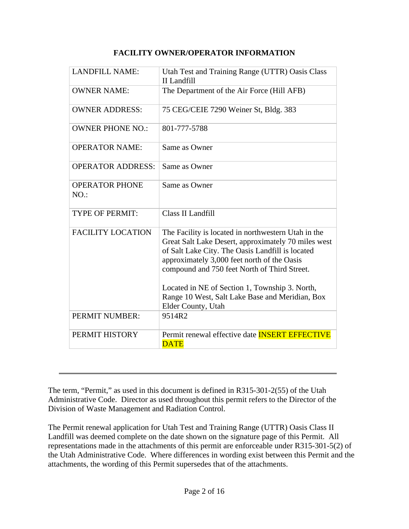## **FACILITY OWNER/OPERATOR INFORMATION**

| <b>LANDFILL NAME:</b>        | Utah Test and Training Range (UTTR) Oasis Class<br>II Landfill                                                                                                                                                                                                                                                                                                                           |
|------------------------------|------------------------------------------------------------------------------------------------------------------------------------------------------------------------------------------------------------------------------------------------------------------------------------------------------------------------------------------------------------------------------------------|
| <b>OWNER NAME:</b>           | The Department of the Air Force (Hill AFB)                                                                                                                                                                                                                                                                                                                                               |
| <b>OWNER ADDRESS:</b>        | 75 CEG/CEIE 7290 Weiner St, Bldg. 383                                                                                                                                                                                                                                                                                                                                                    |
| <b>OWNER PHONE NO.:</b>      | 801-777-5788                                                                                                                                                                                                                                                                                                                                                                             |
| <b>OPERATOR NAME:</b>        | Same as Owner                                                                                                                                                                                                                                                                                                                                                                            |
| <b>OPERATOR ADDRESS:</b>     | Same as Owner                                                                                                                                                                                                                                                                                                                                                                            |
| <b>OPERATOR PHONE</b><br>NO. | Same as Owner                                                                                                                                                                                                                                                                                                                                                                            |
| <b>TYPE OF PERMIT:</b>       | Class II Landfill                                                                                                                                                                                                                                                                                                                                                                        |
| <b>FACILITY LOCATION</b>     | The Facility is located in northwestern Utah in the<br>Great Salt Lake Desert, approximately 70 miles west<br>of Salt Lake City. The Oasis Landfill is located<br>approximately 3,000 feet north of the Oasis<br>compound and 750 feet North of Third Street.<br>Located in NE of Section 1, Township 3. North,<br>Range 10 West, Salt Lake Base and Meridian, Box<br>Elder County, Utah |
| PERMIT NUMBER:               | 9514R2                                                                                                                                                                                                                                                                                                                                                                                   |
| PERMIT HISTORY               | Permit renewal effective date <b>INSERT EFFECTIVE</b><br><b>DATE</b>                                                                                                                                                                                                                                                                                                                     |

The term, "Permit," as used in this document is defined in R315-301-2(55) of the Utah Administrative Code. Director as used throughout this permit refers to the Director of the Division of Waste Management and Radiation Control.

The Permit renewal application for Utah Test and Training Range (UTTR) Oasis Class II Landfill was deemed complete on the date shown on the signature page of this Permit. All representations made in the attachments of this permit are enforceable under R315-301-5(2) of the Utah Administrative Code. Where differences in wording exist between this Permit and the attachments, the wording of this Permit supersedes that of the attachments.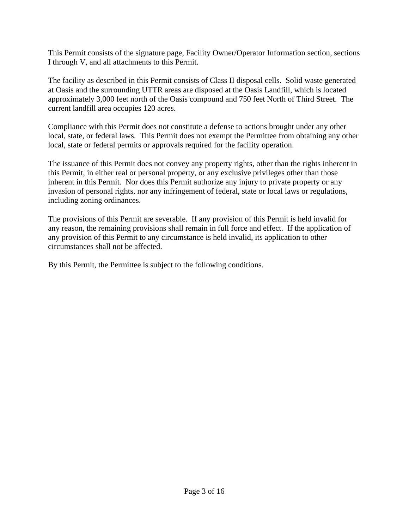This Permit consists of the signature page, Facility Owner/Operator Information section, sections I through V, and all attachments to this Permit.

The facility as described in this Permit consists of Class II disposal cells. Solid waste generated at Oasis and the surrounding UTTR areas are disposed at the Oasis Landfill, which is located approximately 3,000 feet north of the Oasis compound and 750 feet North of Third Street. The current landfill area occupies 120 acres.

Compliance with this Permit does not constitute a defense to actions brought under any other local, state, or federal laws. This Permit does not exempt the Permittee from obtaining any other local, state or federal permits or approvals required for the facility operation.

The issuance of this Permit does not convey any property rights, other than the rights inherent in this Permit, in either real or personal property, or any exclusive privileges other than those inherent in this Permit. Nor does this Permit authorize any injury to private property or any invasion of personal rights, nor any infringement of federal, state or local laws or regulations, including zoning ordinances.

The provisions of this Permit are severable. If any provision of this Permit is held invalid for any reason, the remaining provisions shall remain in full force and effect. If the application of any provision of this Permit to any circumstance is held invalid, its application to other circumstances shall not be affected.

By this Permit, the Permittee is subject to the following conditions.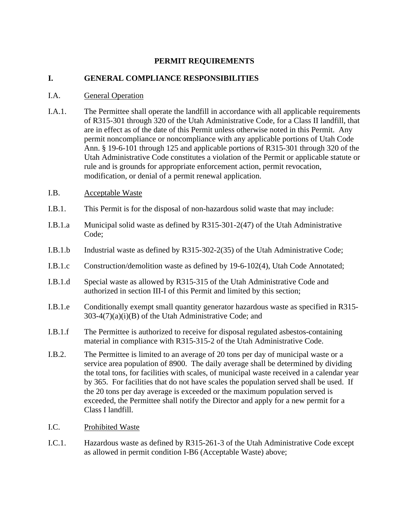#### **PERMIT REQUIREMENTS**

#### **I. GENERAL COMPLIANCE RESPONSIBILITIES**

#### I.A. General Operation

- I.A.1. The Permittee shall operate the landfill in accordance with all applicable requirements of R315-301 through 320 of the Utah Administrative Code, for a Class II landfill, that are in effect as of the date of this Permit unless otherwise noted in this Permit. Any permit noncompliance or noncompliance with any applicable portions of Utah Code Ann. § 19-6-101 through 125 and applicable portions of R315-301 through 320 of the Utah Administrative Code constitutes a violation of the Permit or applicable statute or rule and is grounds for appropriate enforcement action, permit revocation, modification, or denial of a permit renewal application.
- I.B. Acceptable Waste
- I.B.1. This Permit is for the disposal of non-hazardous solid waste that may include:
- I.B.1.a Municipal solid waste as defined by R315-301-2(47) of the Utah Administrative Code;
- I.B.1.b Industrial waste as defined by R315-302-2(35) of the Utah Administrative Code;
- I.B.1.c Construction/demolition waste as defined by 19-6-102(4), Utah Code Annotated;
- I.B.1.d Special waste as allowed by R315-315 of the Utah Administrative Code and authorized in section III-I of this Permit and limited by this section;
- I.B.1.e Conditionally exempt small quantity generator hazardous waste as specified in R315-  $303-4(7)(a)(i)(B)$  of the Utah Administrative Code; and
- I.B.1.f The Permittee is authorized to receive for disposal regulated asbestos-containing material in compliance with R315-315-2 of the Utah Administrative Code.
- I.B.2. The Permittee is limited to an average of 20 tons per day of municipal waste or a service area population of 8900. The daily average shall be determined by dividing the total tons, for facilities with scales, of municipal waste received in a calendar year by 365. For facilities that do not have scales the population served shall be used. If the 20 tons per day average is exceeded or the maximum population served is exceeded, the Permittee shall notify the Director and apply for a new permit for a Class I landfill.
- I.C. Prohibited Waste
- I.C.1. Hazardous waste as defined by R315-261-3 of the Utah Administrative Code except as allowed in permit condition I-B6 (Acceptable Waste) above;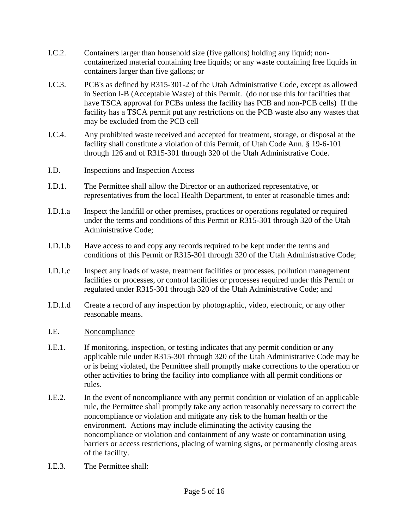- I.C.2. Containers larger than household size (five gallons) holding any liquid; noncontainerized material containing free liquids; or any waste containing free liquids in containers larger than five gallons; or
- I.C.3. PCB's as defined by R315-301-2 of the Utah Administrative Code, except as allowed in Section I-B (Acceptable Waste) of this Permit. (do not use this for facilities that have TSCA approval for PCBs unless the facility has PCB and non-PCB cells) If the facility has a TSCA permit put any restrictions on the PCB waste also any wastes that may be excluded from the PCB cell
- I.C.4. Any prohibited waste received and accepted for treatment, storage, or disposal at the facility shall constitute a violation of this Permit, of Utah Code Ann. § 19-6-101 through 126 and of R315-301 through 320 of the Utah Administrative Code.

#### I.D. Inspections and Inspection Access

- I.D.1. The Permittee shall allow the Director or an authorized representative, or representatives from the local Health Department, to enter at reasonable times and:
- I.D.1.a Inspect the landfill or other premises, practices or operations regulated or required under the terms and conditions of this Permit or R315-301 through 320 of the Utah Administrative Code;
- I.D.1.b Have access to and copy any records required to be kept under the terms and conditions of this Permit or R315-301 through 320 of the Utah Administrative Code;
- I.D.1.c Inspect any loads of waste, treatment facilities or processes, pollution management facilities or processes, or control facilities or processes required under this Permit or regulated under R315-301 through 320 of the Utah Administrative Code; and
- I.D.1.d Create a record of any inspection by photographic, video, electronic, or any other reasonable means.
- I.E. Noncompliance
- I.E.1. If monitoring, inspection, or testing indicates that any permit condition or any applicable rule under R315-301 through 320 of the Utah Administrative Code may be or is being violated, the Permittee shall promptly make corrections to the operation or other activities to bring the facility into compliance with all permit conditions or rules.
- I.E.2. In the event of noncompliance with any permit condition or violation of an applicable rule, the Permittee shall promptly take any action reasonably necessary to correct the noncompliance or violation and mitigate any risk to the human health or the environment. Actions may include eliminating the activity causing the noncompliance or violation and containment of any waste or contamination using barriers or access restrictions, placing of warning signs, or permanently closing areas of the facility.
- I.E.3. The Permittee shall: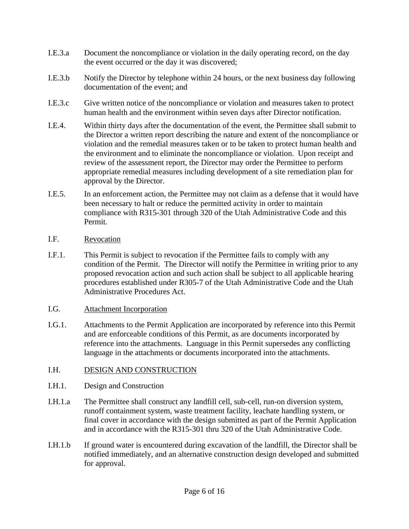- I.E.3.a Document the noncompliance or violation in the daily operating record, on the day the event occurred or the day it was discovered;
- I.E.3.b Notify the Director by telephone within 24 hours, or the next business day following documentation of the event; and
- I.E.3.c Give written notice of the noncompliance or violation and measures taken to protect human health and the environment within seven days after Director notification.
- I.E.4. Within thirty days after the documentation of the event, the Permittee shall submit to the Director a written report describing the nature and extent of the noncompliance or violation and the remedial measures taken or to be taken to protect human health and the environment and to eliminate the noncompliance or violation. Upon receipt and review of the assessment report, the Director may order the Permittee to perform appropriate remedial measures including development of a site remediation plan for approval by the Director.
- I.E.5. In an enforcement action, the Permittee may not claim as a defense that it would have been necessary to halt or reduce the permitted activity in order to maintain compliance with R315-301 through 320 of the Utah Administrative Code and this Permit.
- I.F. Revocation
- I.F.1. This Permit is subject to revocation if the Permittee fails to comply with any condition of the Permit. The Director will notify the Permittee in writing prior to any proposed revocation action and such action shall be subject to all applicable hearing procedures established under R305-7 of the Utah Administrative Code and the Utah Administrative Procedures Act.
- I.G. Attachment Incorporation
- I.G.1. Attachments to the Permit Application are incorporated by reference into this Permit and are enforceable conditions of this Permit, as are documents incorporated by reference into the attachments. Language in this Permit supersedes any conflicting language in the attachments or documents incorporated into the attachments.
- I.H. DESIGN AND CONSTRUCTION
- I.H.1. Design and Construction
- I.H.1.a The Permittee shall construct any landfill cell, sub-cell, run-on diversion system, runoff containment system, waste treatment facility, leachate handling system, or final cover in accordance with the design submitted as part of the Permit Application and in accordance with the R315-301 thru 320 of the Utah Administrative Code.
- I.H.1.b If ground water is encountered during excavation of the landfill, the Director shall be notified immediately, and an alternative construction design developed and submitted for approval.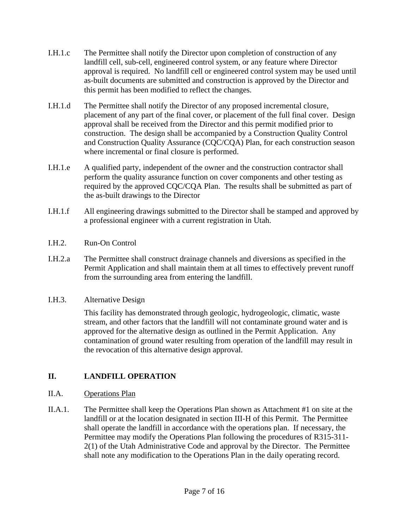- I.H.1.c The Permittee shall notify the Director upon completion of construction of any landfill cell, sub-cell, engineered control system, or any feature where Director approval is required. No landfill cell or engineered control system may be used until as-built documents are submitted and construction is approved by the Director and this permit has been modified to reflect the changes.
- I.H.1.d The Permittee shall notify the Director of any proposed incremental closure, placement of any part of the final cover, or placement of the full final cover. Design approval shall be received from the Director and this permit modified prior to construction. The design shall be accompanied by a Construction Quality Control and Construction Quality Assurance (CQC/CQA) Plan, for each construction season where incremental or final closure is performed.
- I.H.1.e A qualified party, independent of the owner and the construction contractor shall perform the quality assurance function on cover components and other testing as required by the approved CQC/CQA Plan. The results shall be submitted as part of the as-built drawings to the Director
- I.H.1.f All engineering drawings submitted to the Director shall be stamped and approved by a professional engineer with a current registration in Utah.
- I.H.2. Run-On Control
- I.H.2.a The Permittee shall construct drainage channels and diversions as specified in the Permit Application and shall maintain them at all times to effectively prevent runoff from the surrounding area from entering the landfill.
- I.H.3. Alternative Design

This facility has demonstrated through geologic, hydrogeologic, climatic, waste stream, and other factors that the landfill will not contaminate ground water and is approved for the alternative design as outlined in the Permit Application. Any contamination of ground water resulting from operation of the landfill may result in the revocation of this alternative design approval.

## **II. LANDFILL OPERATION**

## II.A. Operations Plan

II.A.1. The Permittee shall keep the Operations Plan shown as Attachment #1 on site at the landfill or at the location designated in section III-H of this Permit. The Permittee shall operate the landfill in accordance with the operations plan. If necessary, the Permittee may modify the Operations Plan following the procedures of R315-311- 2(1) of the Utah Administrative Code and approval by the Director. The Permittee shall note any modification to the Operations Plan in the daily operating record.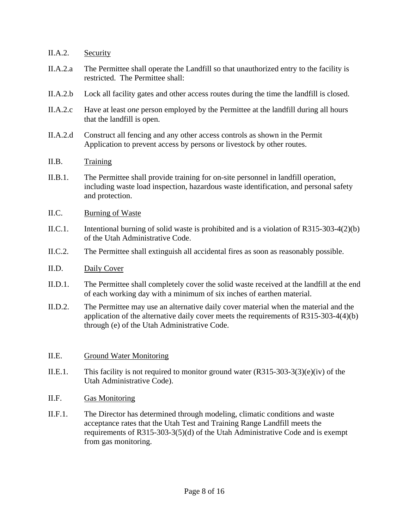#### II.A.2. Security

- II.A.2.a The Permittee shall operate the Landfill so that unauthorized entry to the facility is restricted. The Permittee shall:
- II.A.2.b Lock all facility gates and other access routes during the time the landfill is closed.
- II.A.2.c Have at least *one* person employed by the Permittee at the landfill during all hours that the landfill is open.
- II.A.2.d Construct all fencing and any other access controls as shown in the Permit Application to prevent access by persons or livestock by other routes.
- II.B. Training
- II.B.1. The Permittee shall provide training for on-site personnel in landfill operation, including waste load inspection, hazardous waste identification, and personal safety and protection.
- II.C. Burning of Waste
- II.C.1. Intentional burning of solid waste is prohibited and is a violation of R315-303-4(2)(b) of the Utah Administrative Code.
- II.C.2. The Permittee shall extinguish all accidental fires as soon as reasonably possible.
- II.D. Daily Cover
- II.D.1. The Permittee shall completely cover the solid waste received at the landfill at the end of each working day with a minimum of six inches of earthen material.
- II.D.2. The Permittee may use an alternative daily cover material when the material and the application of the alternative daily cover meets the requirements of R315-303-4(4)(b) through (e) of the Utah Administrative Code.

#### II.E. Ground Water Monitoring

- II.E.1. This facility is not required to monitor ground water  $(R315-303-3(3)(e)(iv)$  of the Utah Administrative Code).
- II.F. Gas Monitoring
- II.F.1. The Director has determined through modeling, climatic conditions and waste acceptance rates that the Utah Test and Training Range Landfill meets the requirements of R315-303-3(5)(d) of the Utah Administrative Code and is exempt from gas monitoring.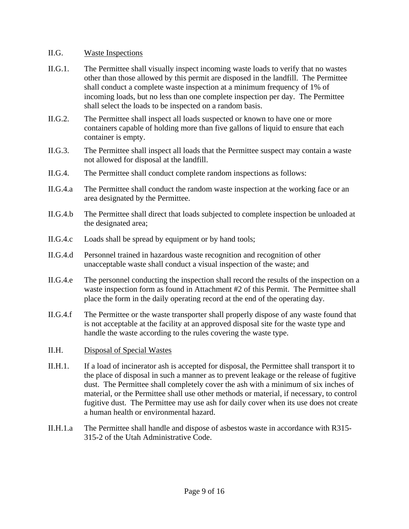#### II.G. Waste Inspections

- II.G.1. The Permittee shall visually inspect incoming waste loads to verify that no wastes other than those allowed by this permit are disposed in the landfill. The Permittee shall conduct a complete waste inspection at a minimum frequency of 1% of incoming loads, but no less than one complete inspection per day. The Permittee shall select the loads to be inspected on a random basis.
- II.G.2. The Permittee shall inspect all loads suspected or known to have one or more containers capable of holding more than five gallons of liquid to ensure that each container is empty.
- II.G.3. The Permittee shall inspect all loads that the Permittee suspect may contain a waste not allowed for disposal at the landfill.
- II.G.4. The Permittee shall conduct complete random inspections as follows:
- II.G.4.a The Permittee shall conduct the random waste inspection at the working face or an area designated by the Permittee.
- II.G.4.b The Permittee shall direct that loads subjected to complete inspection be unloaded at the designated area;
- II.G.4.c Loads shall be spread by equipment or by hand tools;
- II.G.4.d Personnel trained in hazardous waste recognition and recognition of other unacceptable waste shall conduct a visual inspection of the waste; and
- II.G.4.e The personnel conducting the inspection shall record the results of the inspection on a waste inspection form as found in Attachment #2 of this Permit. The Permittee shall place the form in the daily operating record at the end of the operating day.
- II.G.4.f The Permittee or the waste transporter shall properly dispose of any waste found that is not acceptable at the facility at an approved disposal site for the waste type and handle the waste according to the rules covering the waste type.
- II.H. Disposal of Special Wastes
- II.H.1. If a load of incinerator ash is accepted for disposal, the Permittee shall transport it to the place of disposal in such a manner as to prevent leakage or the release of fugitive dust. The Permittee shall completely cover the ash with a minimum of six inches of material, or the Permittee shall use other methods or material, if necessary, to control fugitive dust. The Permittee may use ash for daily cover when its use does not create a human health or environmental hazard.
- II.H.1.a The Permittee shall handle and dispose of asbestos waste in accordance with R315- 315-2 of the Utah Administrative Code.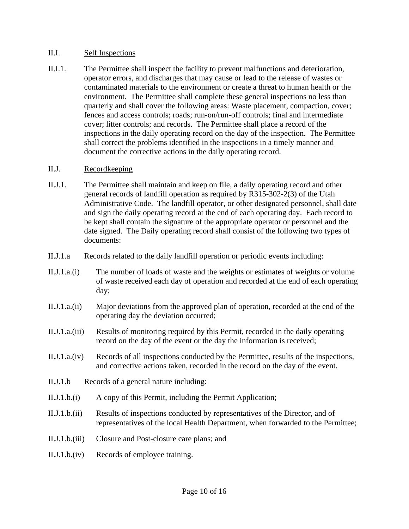#### II.I. Self Inspections

II.I.1. The Permittee shall inspect the facility to prevent malfunctions and deterioration, operator errors, and discharges that may cause or lead to the release of wastes or contaminated materials to the environment or create a threat to human health or the environment. The Permittee shall complete these general inspections no less than quarterly and shall cover the following areas: Waste placement, compaction, cover; fences and access controls; roads; run-on/run-off controls; final and intermediate cover; litter controls; and records. The Permittee shall place a record of the inspections in the daily operating record on the day of the inspection. The Permittee shall correct the problems identified in the inspections in a timely manner and document the corrective actions in the daily operating record.

#### II.J. Recordkeeping

- II.J.1. The Permittee shall maintain and keep on file, a daily operating record and other general records of landfill operation as required by R315-302-2(3) of the Utah Administrative Code. The landfill operator, or other designated personnel, shall date and sign the daily operating record at the end of each operating day. Each record to be kept shall contain the signature of the appropriate operator or personnel and the date signed. The Daily operating record shall consist of the following two types of documents:
- II.J.1.a Records related to the daily landfill operation or periodic events including:
- II.J.1.a.(i) The number of loads of waste and the weights or estimates of weights or volume of waste received each day of operation and recorded at the end of each operating day;
- II.J.1.a.(ii) Major deviations from the approved plan of operation, recorded at the end of the operating day the deviation occurred;
- II.J.1.a.(iii) Results of monitoring required by this Permit, recorded in the daily operating record on the day of the event or the day the information is received;
- II.J.1.a.(iv) Records of all inspections conducted by the Permittee, results of the inspections, and corrective actions taken, recorded in the record on the day of the event.
- II.J.1.b Records of a general nature including:
- II.J.1.b.(i) A copy of this Permit, including the Permit Application;
- II.J.1.b.(ii) Results of inspections conducted by representatives of the Director, and of representatives of the local Health Department, when forwarded to the Permittee;
- II.J.1.b.(iii) Closure and Post-closure care plans; and
- II.J.1.b.(iv) Records of employee training.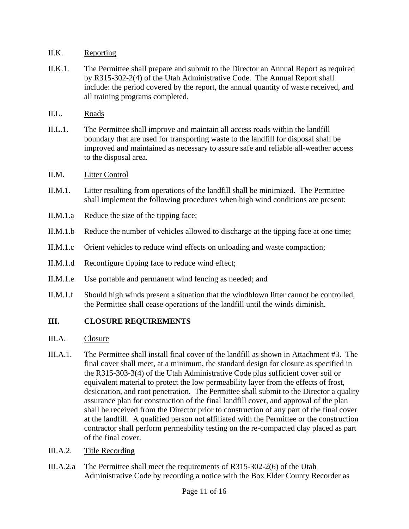## II.K. Reporting

- II.K.1. The Permittee shall prepare and submit to the Director an Annual Report as required by R315-302-2(4) of the Utah Administrative Code. The Annual Report shall include: the period covered by the report, the annual quantity of waste received, and all training programs completed.
- II.L. Roads
- II.L.1. The Permittee shall improve and maintain all access roads within the landfill boundary that are used for transporting waste to the landfill for disposal shall be improved and maintained as necessary to assure safe and reliable all-weather access to the disposal area.

## II.M. Litter Control

- II.M.1. Litter resulting from operations of the landfill shall be minimized. The Permittee shall implement the following procedures when high wind conditions are present:
- II.M.1.a Reduce the size of the tipping face;
- II.M.1.b Reduce the number of vehicles allowed to discharge at the tipping face at one time;
- II.M.1.c Orient vehicles to reduce wind effects on unloading and waste compaction;
- II.M.1.d Reconfigure tipping face to reduce wind effect;
- II.M.1.e Use portable and permanent wind fencing as needed; and
- II.M.1.f Should high winds present a situation that the windblown litter cannot be controlled, the Permittee shall cease operations of the landfill until the winds diminish.

## **III. CLOSURE REQUIREMENTS**

- III.A. Closure
- III.A.1. The Permittee shall install final cover of the landfill as shown in Attachment #3. The final cover shall meet, at a minimum, the standard design for closure as specified in the R315-303-3(4) of the Utah Administrative Code plus sufficient cover soil or equivalent material to protect the low permeability layer from the effects of frost, desiccation, and root penetration. The Permittee shall submit to the Director a quality assurance plan for construction of the final landfill cover, and approval of the plan shall be received from the Director prior to construction of any part of the final cover at the landfill. A qualified person not affiliated with the Permittee or the construction contractor shall perform permeability testing on the re-compacted clay placed as part of the final cover.
- III.A.2. Title Recording
- III.A.2.a The Permittee shall meet the requirements of R315-302-2(6) of the Utah Administrative Code by recording a notice with the Box Elder County Recorder as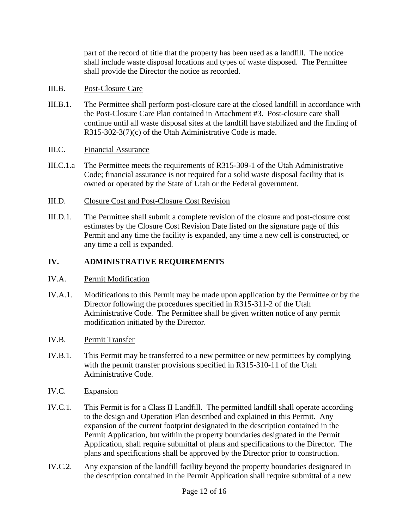part of the record of title that the property has been used as a landfill. The notice shall include waste disposal locations and types of waste disposed. The Permittee shall provide the Director the notice as recorded.

#### III.B. Post-Closure Care

III.B.1. The Permittee shall perform post-closure care at the closed landfill in accordance with the Post-Closure Care Plan contained in Attachment #3. Post-closure care shall continue until all waste disposal sites at the landfill have stabilized and the finding of R315-302-3(7)(c) of the Utah Administrative Code is made.

## III.C. Financial Assurance

- III.C.1.a The Permittee meets the requirements of R315-309-1 of the Utah Administrative Code; financial assurance is not required for a solid waste disposal facility that is owned or operated by the State of Utah or the Federal government.
- III.D. Closure Cost and Post-Closure Cost Revision
- III.D.1. The Permittee shall submit a complete revision of the closure and post-closure cost estimates by the Closure Cost Revision Date listed on the signature page of this Permit and any time the facility is expanded, any time a new cell is constructed, or any time a cell is expanded.

## **IV. ADMINISTRATIVE REQUIREMENTS**

## IV.A. Permit Modification

IV.A.1. Modifications to this Permit may be made upon application by the Permittee or by the Director following the procedures specified in R315-311-2 of the Utah Administrative Code. The Permittee shall be given written notice of any permit modification initiated by the Director.

## IV.B. Permit Transfer

- IV.B.1. This Permit may be transferred to a new permittee or new permittees by complying with the permit transfer provisions specified in R315-310-11 of the Utah Administrative Code.
- IV.C. Expansion
- IV.C.1. This Permit is for a Class II Landfill. The permitted landfill shall operate according to the design and Operation Plan described and explained in this Permit. Any expansion of the current footprint designated in the description contained in the Permit Application, but within the property boundaries designated in the Permit Application, shall require submittal of plans and specifications to the Director. The plans and specifications shall be approved by the Director prior to construction.
- IV.C.2. Any expansion of the landfill facility beyond the property boundaries designated in the description contained in the Permit Application shall require submittal of a new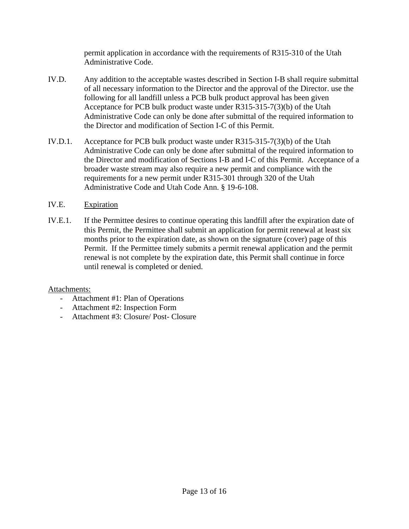permit application in accordance with the requirements of R315-310 of the Utah Administrative Code.

- IV.D. Any addition to the acceptable wastes described in Section I-B shall require submittal of all necessary information to the Director and the approval of the Director. use the following for all landfill unless a PCB bulk product approval has been given Acceptance for PCB bulk product waste under R315-315-7(3)(b) of the Utah Administrative Code can only be done after submittal of the required information to the Director and modification of Section I-C of this Permit.
- IV.D.1. Acceptance for PCB bulk product waste under R315-315-7(3)(b) of the Utah Administrative Code can only be done after submittal of the required information to the Director and modification of Sections I-B and I-C of this Permit. Acceptance of a broader waste stream may also require a new permit and compliance with the requirements for a new permit under R315-301 through 320 of the Utah Administrative Code and Utah Code Ann. § 19-6-108.
- IV.E. Expiration
- IV.E.1. If the Permittee desires to continue operating this landfill after the expiration date of this Permit, the Permittee shall submit an application for permit renewal at least six months prior to the expiration date, as shown on the signature (cover) page of this Permit. If the Permittee timely submits a permit renewal application and the permit renewal is not complete by the expiration date, this Permit shall continue in force until renewal is completed or denied.

## Attachments:

- Attachment #1: Plan of Operations
- Attachment #2: Inspection Form
- Attachment #3: Closure/ Post- Closure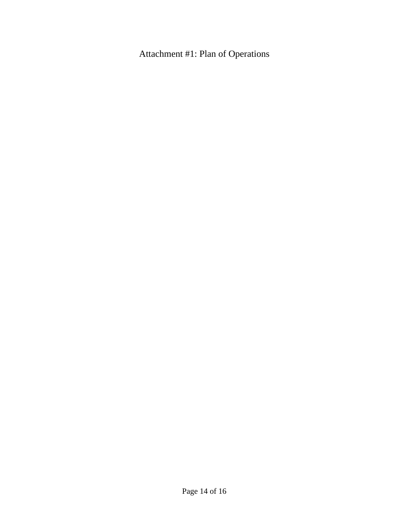Attachment #1: Plan of Operations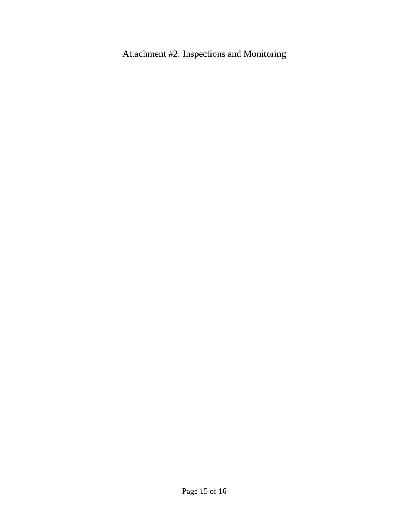Attachment #2: Inspections and Monitoring